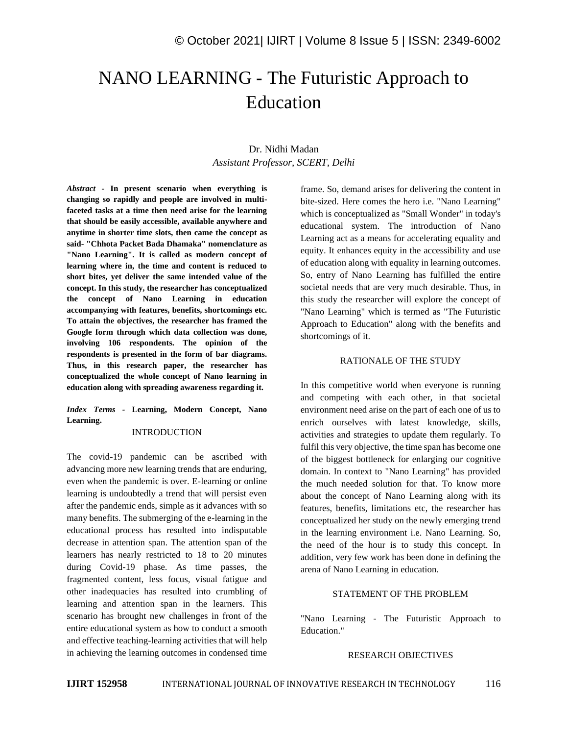# NANO LEARNING - The Futuristic Approach to Education

# Dr. Nidhi Madan *Assistant Professor, SCERT, Delhi*

*Abstract -* **In present scenario when everything is changing so rapidly and people are involved in multifaceted tasks at a time then need arise for the learning that should be easily accessible, available anywhere and anytime in shorter time slots, then came the concept as said- "Chhota Packet Bada Dhamaka" nomenclature as "Nano Learning". It is called as modern concept of learning where in, the time and content is reduced to short bites, yet deliver the same intended value of the concept. In this study, the researcher has conceptualized the concept of Nano Learning in education accompanying with features, benefits, shortcomings etc. To attain the objectives, the researcher has framed the Google form through which data collection was done, involving 106 respondents. The opinion of the respondents is presented in the form of bar diagrams. Thus, in this research paper, the researcher has conceptualized the whole concept of Nano learning in education along with spreading awareness regarding it.**

## *Index Terms -* **Learning, Modern Concept, Nano Learning.**

### INTRODUCTION

The covid-19 pandemic can be ascribed with advancing more new learning trends that are enduring, even when the pandemic is over. E-learning or online learning is undoubtedly a trend that will persist even after the pandemic ends, simple as it advances with so many benefits. The submerging of the e-learning in the educational process has resulted into indisputable decrease in attention span. The attention span of the learners has nearly restricted to 18 to 20 minutes during Covid-19 phase. As time passes, the fragmented content, less focus, visual fatigue and other inadequacies has resulted into crumbling of learning and attention span in the learners. This scenario has brought new challenges in front of the entire educational system as how to conduct a smooth and effective teaching-learning activities that will help in achieving the learning outcomes in condensed time frame. So, demand arises for delivering the content in bite-sized. Here comes the hero i.e. "Nano Learning" which is conceptualized as "Small Wonder" in today's educational system. The introduction of Nano Learning act as a means for accelerating equality and equity. It enhances equity in the accessibility and use of education along with equality in learning outcomes. So, entry of Nano Learning has fulfilled the entire societal needs that are very much desirable. Thus, in this study the researcher will explore the concept of "Nano Learning" which is termed as "The Futuristic Approach to Education" along with the benefits and shortcomings of it.

## RATIONALE OF THE STUDY

In this competitive world when everyone is running and competing with each other, in that societal environment need arise on the part of each one of us to enrich ourselves with latest knowledge, skills, activities and strategies to update them regularly. To fulfil this very objective, the time span has become one of the biggest bottleneck for enlarging our cognitive domain. In context to "Nano Learning" has provided the much needed solution for that. To know more about the concept of Nano Learning along with its features, benefits, limitations etc, the researcher has conceptualized her study on the newly emerging trend in the learning environment i.e. Nano Learning. So, the need of the hour is to study this concept. In addition, very few work has been done in defining the arena of Nano Learning in education.

## STATEMENT OF THE PROBLEM

"Nano Learning - The Futuristic Approach to Education."

#### RESEARCH OBJECTIVES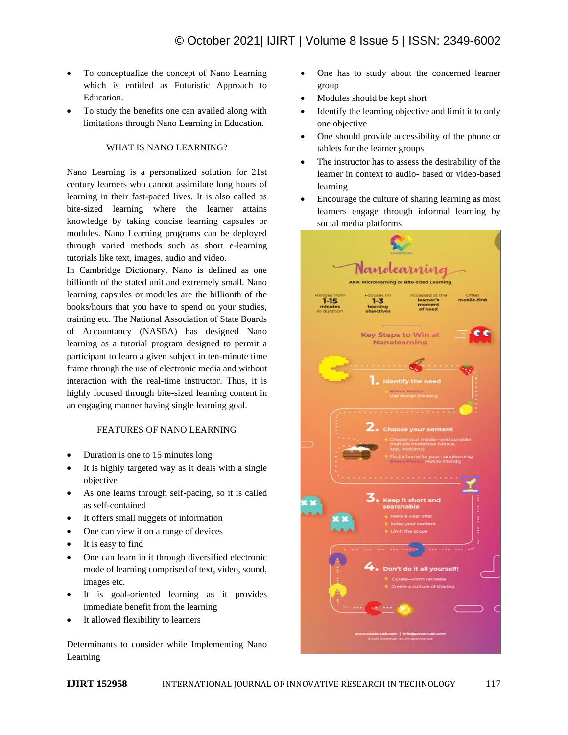- To conceptualize the concept of Nano Learning which is entitled as Futuristic Approach to Education.
- To study the benefits one can availed along with limitations through Nano Learning in Education.

#### WHAT IS NANO LEARNING?

Nano Learning is a personalized solution for 21st century learners who cannot assimilate long hours of learning in their fast-paced lives. It is also called as bite-sized learning where the learner attains knowledge by taking concise learning capsules or modules. Nano Learning programs can be deployed through varied methods such as short e-learning tutorials like text, images, audio and video.

In Cambridge Dictionary, Nano is defined as one billionth of the stated unit and extremely small. Nano learning capsules or modules are the billionth of the books/hours that you have to spend on your studies, training etc. The National Association of State Boards of Accountancy (NASBA) has designed Nano learning as a tutorial program designed to permit a participant to learn a given subject in ten-minute time frame through the use of electronic media and without interaction with the real-time instructor. Thus, it is highly focused through bite-sized learning content in an engaging manner having single learning goal.

## FEATURES OF NANO LEARNING

- Duration is one to 15 minutes long
- It is highly targeted way as it deals with a single objective
- As one learns through self-pacing, so it is called as self-contained
- It offers small nuggets of information
- One can view it on a range of devices
- It is easy to find
- One can learn in it through diversified electronic mode of learning comprised of text, video, sound, images etc.
- It is goal-oriented learning as it provides immediate benefit from the learning
- It allowed flexibility to learners

Determinants to consider while Implementing Nano Learning

- One has to study about the concerned learner group
- Modules should be kept short
- Identify the learning objective and limit it to only one objective
- One should provide accessibility of the phone or tablets for the learner groups
- The instructor has to assess the desirability of the learner in context to audio- based or video-based learning
- Encourage the culture of sharing learning as most learners engage through informal learning by social media platforms

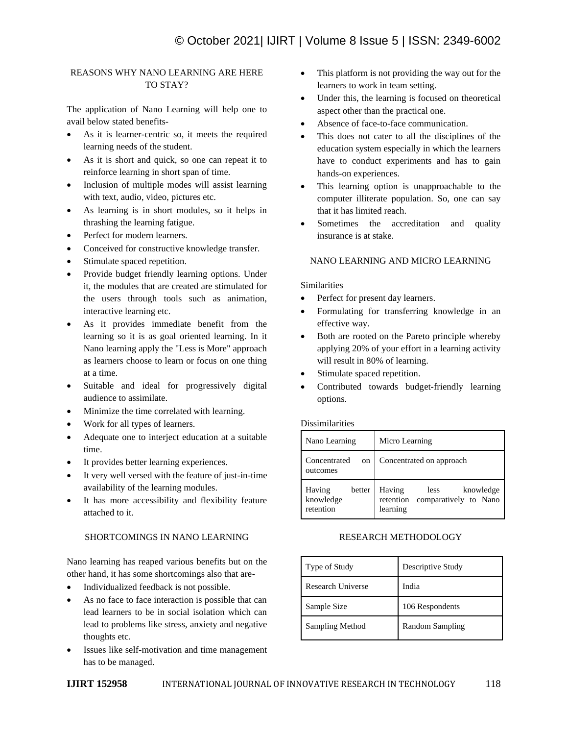# REASONS WHY NANO LEARNING ARE HERE TO STAY?

The application of Nano Learning will help one to avail below stated benefits-

- As it is learner-centric so, it meets the required learning needs of the student.
- As it is short and quick, so one can repeat it to reinforce learning in short span of time.
- Inclusion of multiple modes will assist learning with text, audio, video, pictures etc.
- As learning is in short modules, so it helps in thrashing the learning fatigue.
- Perfect for modern learners.
- Conceived for constructive knowledge transfer.
- Stimulate spaced repetition.
- Provide budget friendly learning options. Under it, the modules that are created are stimulated for the users through tools such as animation, interactive learning etc.
- As it provides immediate benefit from the learning so it is as goal oriented learning. In it Nano learning apply the "Less is More" approach as learners choose to learn or focus on one thing at a time.
- Suitable and ideal for progressively digital audience to assimilate.
- Minimize the time correlated with learning.
- Work for all types of learners.
- Adequate one to interject education at a suitable time.
- It provides better learning experiences.
- It very well versed with the feature of just-in-time availability of the learning modules.
- It has more accessibility and flexibility feature attached to it.

# SHORTCOMINGS IN NANO LEARNING

Nano learning has reaped various benefits but on the other hand, it has some shortcomings also that are-

- Individualized feedback is not possible.
- As no face to face interaction is possible that can lead learners to be in social isolation which can lead to problems like stress, anxiety and negative thoughts etc.
- Issues like self-motivation and time management has to be managed.
- This platform is not providing the way out for the learners to work in team setting.
- Under this, the learning is focused on theoretical aspect other than the practical one.
- Absence of face-to-face communication.
- This does not cater to all the disciplines of the education system especially in which the learners have to conduct experiments and has to gain hands-on experiences.
- This learning option is unapproachable to the computer illiterate population. So, one can say that it has limited reach.
- Sometimes the accreditation and quality insurance is at stake.

# NANO LEARNING AND MICRO LEARNING

## **Similarities**

- Perfect for present day learners.
- Formulating for transferring knowledge in an effective way.
- Both are rooted on the Pareto principle whereby applying 20% of your effort in a learning activity will result in 80% of learning.
- Stimulate spaced repetition.
- Contributed towards budget-friendly learning options.

### **Dissimilarities**

| Nano Learning                              | Micro Learning                                                                |  |
|--------------------------------------------|-------------------------------------------------------------------------------|--|
| Concentrated<br>on<br>outcomes             | Concentrated on approach                                                      |  |
| Having<br>better<br>knowledge<br>retention | Having<br>knowledge<br>less<br>retention<br>comparatively to Nano<br>learning |  |

## RESEARCH METHODOLOGY

| Type of Study     | Descriptive Study |
|-------------------|-------------------|
| Research Universe | India             |
| Sample Size       | 106 Respondents   |
| Sampling Method   | Random Sampling   |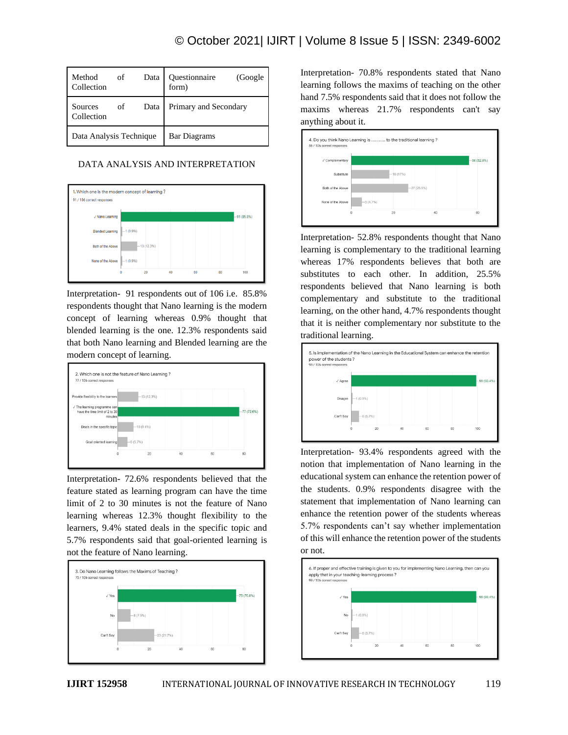| Method<br>Collection    | of | Data | Questionnaire<br>(Google)<br>form) |
|-------------------------|----|------|------------------------------------|
| Sources<br>Collection   | of | Data | Primary and Secondary              |
| Data Analysis Technique |    |      | <b>Bar Diagrams</b>                |

## DATA ANALYSIS AND INTERPRETATION



Interpretation- 91 respondents out of 106 i.e. 85.8% respondents thought that Nano learning is the modern concept of learning whereas 0.9% thought that blended learning is the one. 12.3% respondents said that both Nano learning and Blended learning are the modern concept of learning.



Interpretation- 72.6% respondents believed that the feature stated as learning program can have the time limit of 2 to 30 minutes is not the feature of Nano learning whereas 12.3% thought flexibility to the learners, 9.4% stated deals in the specific topic and 5.7% respondents said that goal-oriented learning is not the feature of Nano learning.



Interpretation- 70.8% respondents stated that Nano learning follows the maxims of teaching on the other hand 7.5% respondents said that it does not follow the maxims whereas 21.7% respondents can't say anything about it.



Interpretation- 52.8% respondents thought that Nano learning is complementary to the traditional learning whereas 17% respondents believes that both are substitutes to each other. In addition, 25.5% respondents believed that Nano learning is both complementary and substitute to the traditional learning, on the other hand, 4.7% respondents thought that it is neither complementary nor substitute to the traditional learning.



Interpretation- 93.4% respondents agreed with the notion that implementation of Nano learning in the educational system can enhance the retention power of the students. 0.9% respondents disagree with the statement that implementation of Nano learning can enhance the retention power of the students whereas 5.7% respondents can't say whether implementation of this will enhance the retention power of the students or not.